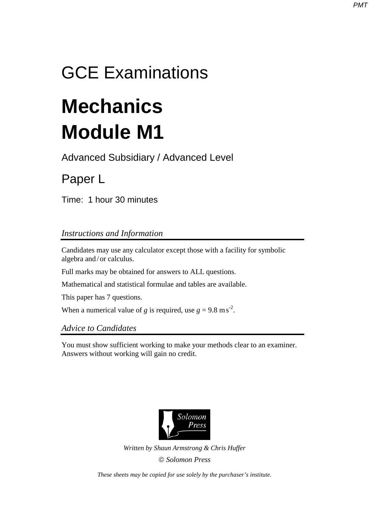## GCE Examinations

# **Mechanics Module M1**

Advanced Subsidiary / Advanced Level

## Paper L

Time: 1 hour 30 minutes

### *Instructions and Information*

Candidates may use any calculator except those with a facility for symbolic algebra and / or calculus.

Full marks may be obtained for answers to ALL questions.

Mathematical and statistical formulae and tables are available.

This paper has 7 questions.

When a numerical value of *g* is required, use  $g = 9.8 \text{ m s}^2$ .

#### *Advice to Candidates*

You must show sufficient working to make your methods clear to an examiner. Answers without working will gain no credit.



*Written by Shaun Armstrong & Chris Huffer Solomon Press* 

*These sheets may be copied for use solely by the purchaser's institute.*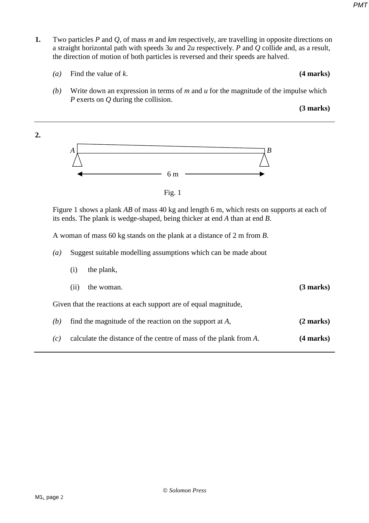- **1.** Two particles *P* and *Q*, of mass *m* and *km* respectively, are travelling in opposite directions on a straight horizontal path with speeds 3*u* and 2*u* respectively. *P* and *Q* collide and, as a result, the direction of motion of both particles is reversed and their speeds are halved.
	- *(a)* Find the value of *k*. **(4 marks)**
		- *(b)* Write down an expression in terms of *m* and *u* for the magnitude of the impulse which *P* exerts on *Q* during the collision.

**(3 marks)**



Fig. 1

Figure 1 shows a plank *AB* of mass 40 kg and length 6 m, which rests on supports at each of its ends. The plank is wedge-shaped, being thicker at end *A* than at end *B*.

A woman of mass 60 kg stands on the plank at a distance of 2 m from *B*.

- *(a)* Suggest suitable modelling assumptions which can be made about
- (i) the plank, (ii) the woman. **(3 marks)** Given that the reactions at each support are of equal magnitude, *(b)* find the magnitude of the reaction on the support at *A*, **(2 marks)** *(c)* calculate the distance of the centre of mass of the plank from *A*. **(4 marks)**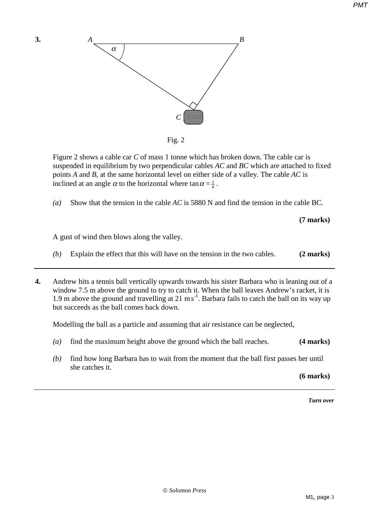

Figure 2 shows a cable car *C* of mass 1 tonne which has broken down. The cable car is suspended in equilibrium by two perpendicular cables *AC* and *BC* which are attached to fixed points *A* and *B*, at the same horizontal level on either side of a valley. The cable *AC* is inclined at an angle  $\alpha$  to the horizontal where  $\tan \alpha = \frac{3}{4}$ .

*(a)* Show that the tension in the cable *AC* is 5880 N and find the tension in the cable BC.

**(7 marks)** 

A gust of wind then blows along the valley.

- *(b)* Explain the effect that this will have on the tension in the two cables. **(2 marks)**
- **4.** Andrew hits a tennis ball vertically upwards towards his sister Barbara who is leaning out of a window 7.5 m above the ground to try to catch it. When the ball leaves Andrew's racket, it is 1.9 m above the ground and travelling at 21 ms<sup>-1</sup>. Barbara fails to catch the ball on its way up but succeeds as the ball comes back down.

Modelling the ball as a particle and assuming that air resistance can be neglected,

- *(a)* find the maximum height above the ground which the ball reaches. **(4 marks)**
- *(b)* find how long Barbara has to wait from the moment that the ball first passes her until she catches it.

**(6 marks)**

*Turn over*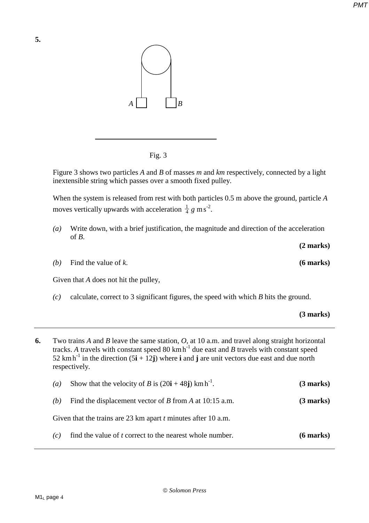

Fig. 3

Figure 3 shows two particles *A* and *B* of masses *m* and *km* respectively, connected by a light inextensible string which passes over a smooth fixed pulley.

When the system is released from rest with both particles 0.5 m above the ground, particle *A*  moves vertically upwards with acceleration  $\frac{1}{4} g$  m s<sup>-2</sup>.

*(a)* Write down, with a brief justification, the magnitude and direction of the acceleration of  $B$ .

*(b)* Find the value of *k*. **(6 marks)** 

**5.**

Given that *A* does not hit the pulley,

- *(c)* calculate, correct to 3 significant figures, the speed with which *B* hits the ground.
	- **(3 marks)**

**(2 marks)** 

**6.** Two trains *A* and *B* leave the same station, *O*, at 10 a.m. and travel along straight horizontal tracks. A travels with constant speed  $80 \text{ km h}^{-1}$  due east and *B* travels with constant speed 52 km h<sup>-1</sup> in the direction  $(5\mathbf{i} + 12\mathbf{j})$  where **i** and **j** are unit vectors due east and due north respectively.

| $\left( a\right)$ | Show that the velocity of B is $(20i + 48j)$ km h <sup>-1</sup> . | $(3 \text{ marks})$ |
|-------------------|-------------------------------------------------------------------|---------------------|
| (h)               | Find the displacement vector of B from A at $10:15$ a.m.          | $(3 \text{ marks})$ |
|                   | Given that the trains are 23 km apart $t$ minutes after 10 a.m.   |                     |
| (c)               | find the value of <i>t</i> correct to the nearest whole number.   | $(6$ marks)         |

M<sub>1</sub> page 4